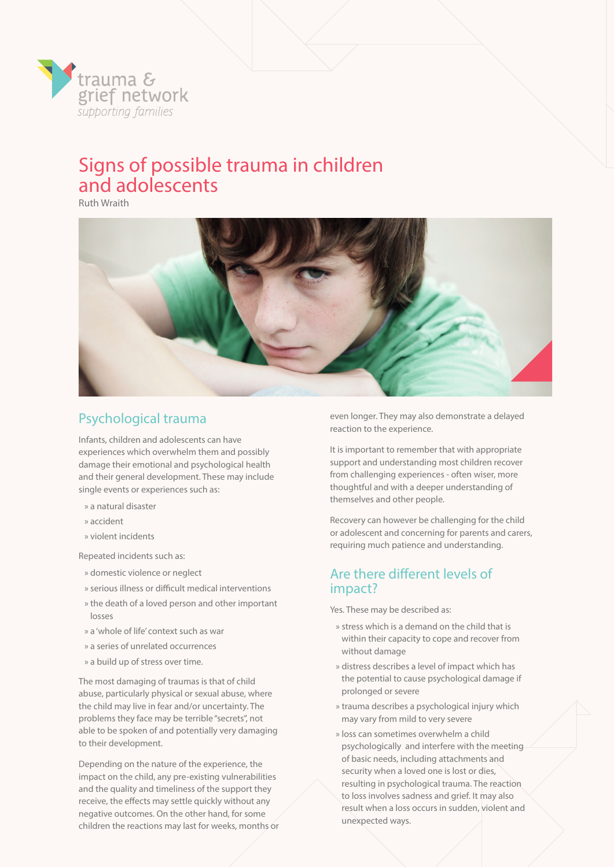

Ruth Wraith



## Psychological trauma

Infants, children and adolescents can have experiences which overwhelm them and possibly damage their emotional and psychological health and their general development. These may include single events or experiences such as:

- » a natural disaster
- » accident
- » violent incidents

Repeated incidents such as:

- » domestic violence or neglect
- » serious illness or difficult medical interventions
- » the death of a loved person and other important losses
- » a 'whole of life' context such as war
- » a series of unrelated occurrences
- » a build up of stress over time.

The most damaging of traumas is that of child abuse, particularly physical or sexual abuse, where the child may live in fear and/or uncertainty. The problems they face may be terrible "secrets", not able to be spoken of and potentially very damaging to their development.

Depending on the nature of the experience, the impact on the child, any pre-existing vulnerabilities and the quality and timeliness of the support they receive, the effects may settle quickly without any negative outcomes. On the other hand, for some children the reactions may last for weeks, months or even longer. They may also demonstrate a delayed reaction to the experience.

It is important to remember that with appropriate support and understanding most children recover from challenging experiences - often wiser, more thoughtful and with a deeper understanding of themselves and other people.

Recovery can however be challenging for the child or adolescent and concerning for parents and carers, requiring much patience and understanding.

#### Are there different levels of impact?

Yes. These may be described as:

- » stress which is a demand on the child that is within their capacity to cope and recover from without damage
- » distress describes a level of impact which has the potential to cause psychological damage if prolonged or severe
- » trauma describes a psychological injury which may vary from mild to very severe
- » loss can sometimes overwhelm a child psychologically and interfere with the meeting of basic needs, including attachments and security when a loved one is lost or dies, resulting in psychological trauma. The reaction to loss involves sadness and grief. It may also result when a loss occurs in sudden, violent and unexpected ways.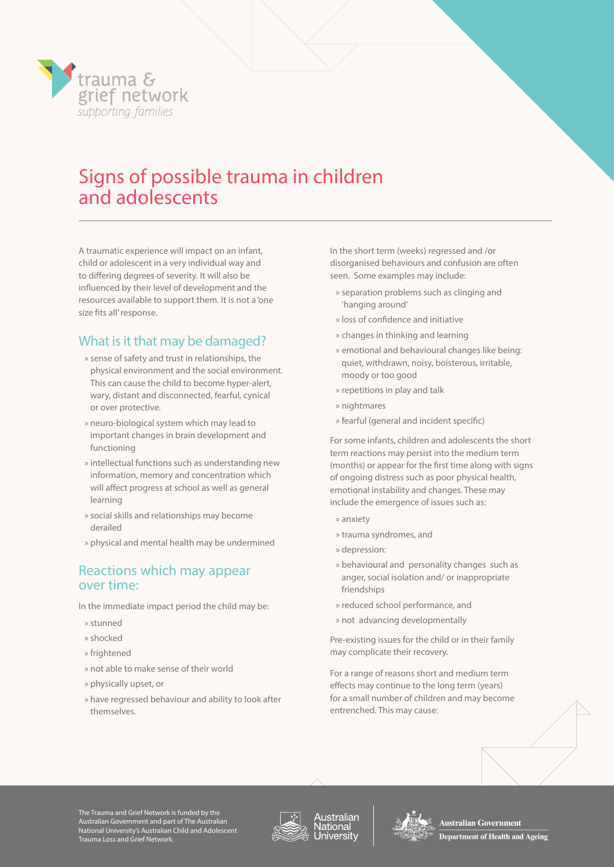

A traumatic experience will impact on an infant, child or adolescent in a very individual way and to differing degrees of severity. It will also be influenced by their level of development and the resources available to support them. It is not a 'one size fits all' response.

## What is it that may be damaged?

- » sense of safety and trust in relationships, the physical environment and the social environment. This can cause the child to become hyper-alert, wary, distant and disconnected, fearful, cynical or over protective.
- » neuro-biological system which may lead to important changes in brain development and functioning
- » intellectual functions such as understanding new information, memory and concentration which will affect progress at school as well as general learning
- » social skills and relationships may become derailed
- » physical and mental health may be undermined

#### Reactions which may appear over time:

In the immediate impact period the child may be:

- » stunned
- » shocked
- » frightened
- » not able to make sense of their world
- » physically upset, or
- » have regressed behaviour and ability to look after themselves.

In the short term (weeks) regressed and /or disorganised behaviours and confusion are often seen. Some examples may include:

- » separation problems such as clinging and 'hanging around'
- » loss of confidence and initiative
- » changes in thinking and learning
- » emotional and behavioural changes like being: quiet, withdrawn, noisy, boisterous, irritable, moody or too good
- » repetitions in play and talk
- » nightmares
- » fearful (general and incident specific)

For some infants, children and adolescents the short term reactions may persist into the medium term (months) or appear for the first time along with signs of ongoing distress such as poor physical health, emotional instability and changes. These may include the emergence of issues such as:

- » anxiety
- » trauma syndromes, and
- » depression:
- » behavioural and personality changes such as anger, social isolation and/ or inappropriate friendships
- » reduced school performance, and
- » not advancing developmentally

Pre-existing issues for the child or in their family may complicate their recovery.

For a range of reasons short and medium term effects may continue to the long term (years) for a small number of children and may become entrenched. This may cause:

The Trauma and Grief Network is funded by the Australian Government and part of The Australian National University's Australian Child and Adolescent Trauma Loss and Grief Network.







Australian Government **Department of Health and Ageing**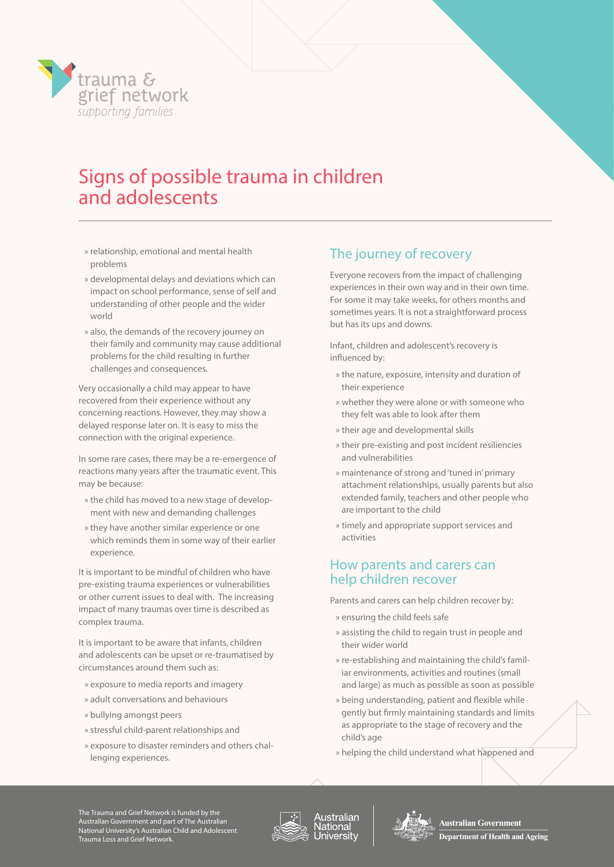

- » relationship, emotional and mental health problems
- » developmental delays and deviations which can impact on school performance, sense of self and understanding of other people and the wider world
- » also, the demands of the recovery journey on their family and community may cause additional problems for the child resulting in further challenges and consequences.

Very occasionally a child may appear to have recovered from their experience without any concerning reactions. However, they may show a delayed response later on. It is easy to miss the connection with the original experience.

In some rare cases, there may be a re-emergence of reactions many years after the traumatic event. This may be because:

- » the child has moved to a new stage of development with new and demanding challenges
- » they have another similar experience or one which reminds them in some way of their earlier experience.

It is important to be mindful of children who have pre-existing trauma experiences or vulnerabilities or other current issues to deal with. The increasing impact of many traumas over time is described as complex trauma.

It is important to be aware that infants, children and adolescents can be upset or re-traumatised by circumstances around them such as:

- » exposure to media reports and imagery
- » adult conversations and behaviours
- » bullying amongst peers
- » stressful child-parent relationships and
- » exposure to disaster reminders and others challenging experiences.

### The journey of recovery

Everyone recovers from the impact of challenging experiences in their own way and in their own time. For some it may take weeks, for others months and sometimes years. It is not a straightforward process but has its ups and downs.

Infant, children and adolescent's recovery is influenced by:

- » the nature, exposure, intensity and duration of their experience
- » whether they were alone or with someone who they felt was able to look after them
- » their age and developmental skills
- » their pre-existing and post incident resiliencies and vulnerabilities
- » maintenance of strong and 'tuned in' primary attachment relationships, usually parents but also extended family, teachers and other people who are important to the child
- » timely and appropriate support services and activities

### How parents and carers can help children recover

Parents and carers can help children recover by:

- » ensuring the child feels safe
- » assisting the child to regain trust in people and their wider world
- » re-establishing and maintaining the child's familiar environments, activities and routines (small and large) as much as possible as soon as possible
- » being understanding, patient and flexible while gently but firmly maintaining standards and limits as appropriate to the stage of recovery and the child's age
- » helping the child understand what happened and

The Trauma and Grief Network is funded by the Australian Government and part of The Australian National University's Australian Child and Adolescent Trauma Loss and Grief Network.